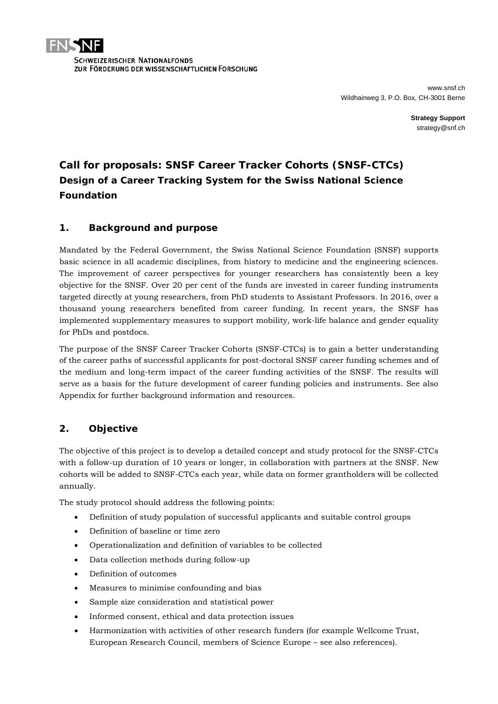

**Strategy Support** strategy@snf.ch

# **Call for proposals: SNSF Career Tracker Cohorts (SNSF-CTCs)** *Design of a Career Tracking System for the Swiss National Science Foundation*

## **1. Background and purpose**

Mandated by the Federal Government, the Swiss National Science Foundation (SNSF) supports basic science in all academic disciplines, from history to medicine and the engineering sciences. The improvement of career perspectives for younger researchers has consistently been a key objective for the SNSF. Over 20 per cent of the funds are invested in career funding instruments targeted directly at young researchers, from PhD students to Assistant Professors. In 2016, over a thousand young researchers benefited from career funding. In recent years, the SNSF has implemented supplementary measures to support mobility, work-life balance and gender equality for PhDs and postdocs.

The purpose of the SNSF Career Tracker Cohorts (SNSF-CTCs) is to gain a better understanding of the career paths of successful applicants for post-doctoral SNSF career funding schemes and of the medium and long-term impact of the career funding activities of the SNSF. The results will serve as a basis for the future development of career funding policies and instruments. See also Appendix for further background information and resources.

## **2. Objective**

The objective of this project is to develop a detailed concept and study protocol for the SNSF-CTCs with a follow-up duration of 10 years or longer, in collaboration with partners at the SNSF. New cohorts will be added to SNSF-CTCs each year, while data on former grantholders will be collected annually.

The study protocol should address the following points:

- Definition of study population of successful applicants and suitable control groups
- Definition of baseline or time zero
- Operationalization and definition of variables to be collected
- Data collection methods during follow-up
- Definition of outcomes
- Measures to minimise confounding and bias
- Sample size consideration and statistical power
- Informed consent, ethical and data protection issues
- Harmonization with activities of other research funders (for example Wellcome Trust, European Research Council, members of Science Europe – see also references).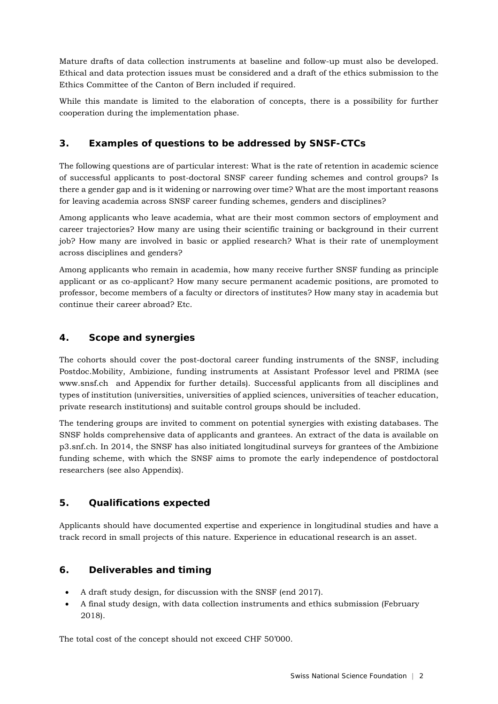Mature drafts of data collection instruments at baseline and follow-up must also be developed. Ethical and data protection issues must be considered and a draft of the ethics submission to the Ethics Committee of the Canton of Bern included if required.

While this mandate is limited to the elaboration of concepts, there is a possibility for further cooperation during the implementation phase.

## **3. Examples of questions to be addressed by SNSF-CTCs**

The following questions are of particular interest: What is the rate of retention in academic science of successful applicants to post-doctoral SNSF career funding schemes and control groups? Is there a gender gap and is it widening or narrowing over time? What are the most important reasons for leaving academia across SNSF career funding schemes, genders and disciplines?

Among applicants who leave academia, what are their most common sectors of employment and career trajectories? How many are using their scientific training or background in their current job? How many are involved in basic or applied research? What is their rate of unemployment across disciplines and genders?

Among applicants who remain in academia, how many receive further SNSF funding as principle applicant or as co-applicant? How many secure permanent academic positions, are promoted to professor, become members of a faculty or directors of institutes? How many stay in academia but continue their career abroad? Etc.

## **4. Scope and synergies**

The cohorts should cover the post-doctoral career funding instruments of the SNSF, including Postdoc.Mobility, Ambizione, funding instruments at Assistant Professor level and PRIMA (see www.snsf.ch and Appendix for further details). Successful applicants from all disciplines and types of institution (universities, universities of applied sciences, universities of teacher education, private research institutions) and suitable control groups should be included.

The tendering groups are invited to comment on potential synergies with existing databases. The SNSF holds comprehensive data of applicants and grantees. An extract of the data is available on p3.snf.ch. In 2014, the SNSF has also initiated longitudinal surveys for grantees of the Ambizione funding scheme, with which the SNSF aims to promote the early independence of postdoctoral researchers (see also Appendix).

## **5. Qualifications expected**

Applicants should have documented expertise and experience in longitudinal studies and have a track record in small projects of this nature. Experience in educational research is an asset.

## **6. Deliverables and timing**

- A draft study design, for discussion with the SNSF (end 2017).
- A final study design, with data collection instruments and ethics submission (February 2018).

The total cost of the concept should not exceed CHF 50'000.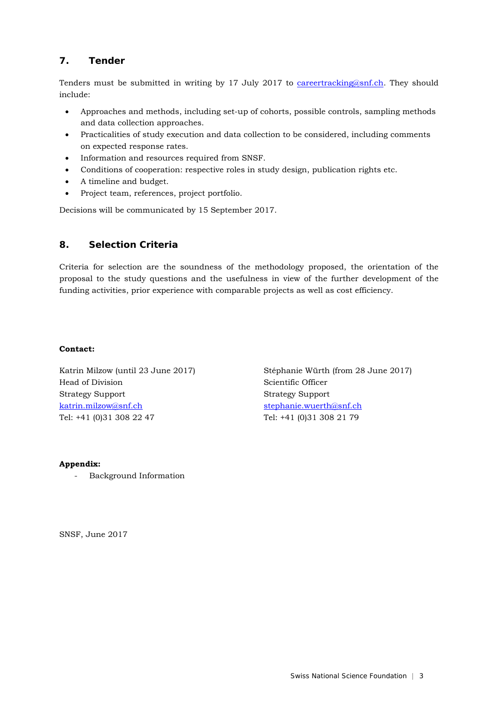## **7. Tender**

Tenders must be submitted in writing by 17 July 2017 to [careertracking@snf.ch.](mailto:careertracking@snf.ch) They should include:

- Approaches and methods, including set-up of cohorts, possible controls, sampling methods and data collection approaches.
- Practicalities of study execution and data collection to be considered, including comments on expected response rates.
- Information and resources required from SNSF.
- Conditions of cooperation: respective roles in study design, publication rights etc.
- A timeline and budget.
- Project team, references, project portfolio.

Decisions will be communicated by 15 September 2017.

## **8. Selection Criteria**

Criteria for selection are the soundness of the methodology proposed, the orientation of the proposal to the study questions and the usefulness in view of the further development of the funding activities, prior experience with comparable projects as well as cost efficiency.

### **Contact:**

Katrin Milzow (until 23 June 2017) Head of Division Strategy Support [katrin.milzow@snf.ch](mailto:katrin.milzow@snf.ch) Tel: +41 (0)31 308 22 47

Stéphanie Würth (from 28 June 2017) Scientific Officer Strategy Support [stephanie.wuerth@snf.ch](mailto:stephanie.wuerth@snf.ch) Tel: +41 (0)31 308 21 79

### **Appendix:**

- Background Information

SNSF, June 2017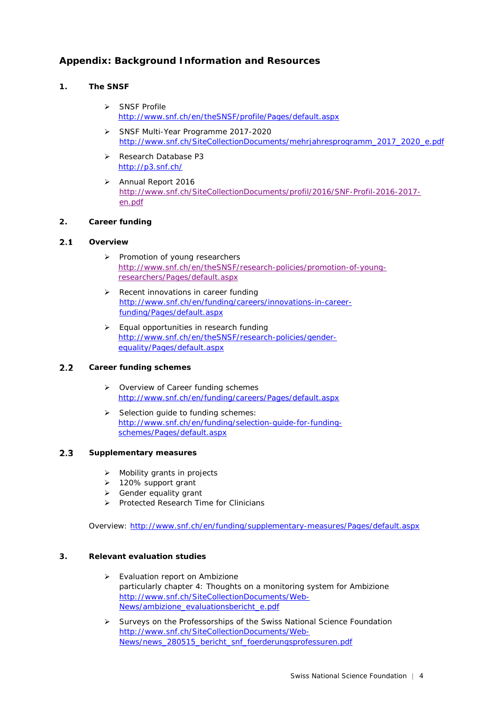## **Appendix: Background Information and Resources**

### **1. The SNSF**

- SNSF Profile <http://www.snf.ch/en/theSNSF/profile/Pages/default.aspx>
- SNSF Multi-Year Programme 2017-2020 [http://www.snf.ch/SiteCollectionDocuments/mehrjahresprogramm\\_2017\\_2020\\_e.pdf](http://www.snf.ch/SiteCollectionDocuments/mehrjahresprogramm_2017_2020_e.pdf)
- **[Research Database P3](http://p3.snf.ch/)** <http://p3.snf.ch/>
- > Annual Report 2016 [http://www.snf.ch/SiteCollectionDocuments/profil/2016/SNF-Profil-2016-2017](http://www.snf.ch/SiteCollectionDocuments/profil/2016/SNF-Profil-2016-2017-en.pdf) [en.pdf](http://www.snf.ch/SiteCollectionDocuments/profil/2016/SNF-Profil-2016-2017-en.pdf)

### **2. Career funding**

#### $2.1$ **Overview**

- > Promotion of young researchers [http://www.snf.ch/en/theSNSF/research-policies/promotion-of-young](http://www.snf.ch/en/theSNSF/research-policies/promotion-of-young-researchers/Pages/default.aspx)[researchers/Pages/default.aspx](http://www.snf.ch/en/theSNSF/research-policies/promotion-of-young-researchers/Pages/default.aspx)
- $\triangleright$  Recent innovations in career funding [http://www.snf.ch/en/funding/careers/innovations-in-career](http://www.snf.ch/en/funding/careers/innovations-in-career-funding/Pages/default.aspx)[funding/Pages/default.aspx](http://www.snf.ch/en/funding/careers/innovations-in-career-funding/Pages/default.aspx)
- **Equal opportunities in research funding** [http://www.snf.ch/en/theSNSF/research-policies/gender](http://www.snf.ch/en/theSNSF/research-policies/gender-equality/Pages/default.aspx)[equality/Pages/default.aspx](http://www.snf.ch/en/theSNSF/research-policies/gender-equality/Pages/default.aspx)

#### $2.2$ **Career funding schemes**

- ▶ Overview of Career funding schemes <http://www.snf.ch/en/funding/careers/Pages/default.aspx>
- $\triangleright$  Selection guide to funding schemes: [http://www.snf.ch/en/funding/selection-guide-for-funding](http://www.snf.ch/en/funding/selection-guide-for-funding-schemes/Pages/default.aspx)[schemes/Pages/default.aspx](http://www.snf.ch/en/funding/selection-guide-for-funding-schemes/Pages/default.aspx)

#### $2.3$ **Supplementary measures**

- $\triangleright$  Mobility grants in projects
- 120% support grant
- $\triangleright$  Gender equality grant
- Protected Research Time for Clinicians

Overview:<http://www.snf.ch/en/funding/supplementary-measures/Pages/default.aspx>

### **3. Relevant evaluation studies**

- Evaluation report on Ambizione particularly chapter 4: Thoughts on a monitoring system for Ambizione [http://www.snf.ch/SiteCollectionDocuments/Web-](http://www.snf.ch/SiteCollectionDocuments/Web-News/ambizione_evaluationsbericht_e.pdf)[News/ambizione\\_evaluationsbericht\\_e.pdf](http://www.snf.ch/SiteCollectionDocuments/Web-News/ambizione_evaluationsbericht_e.pdf)
- $\triangleright$  Surveys on the Professorships of the Swiss National Science Foundation [http://www.snf.ch/SiteCollectionDocuments/Web-](http://www.snf.ch/SiteCollectionDocuments/Web-News/news_280515_bericht_snf_foerderungsprofessuren.pdf)[News/news\\_280515\\_bericht\\_snf\\_foerderungsprofessuren.pdf](http://www.snf.ch/SiteCollectionDocuments/Web-News/news_280515_bericht_snf_foerderungsprofessuren.pdf)